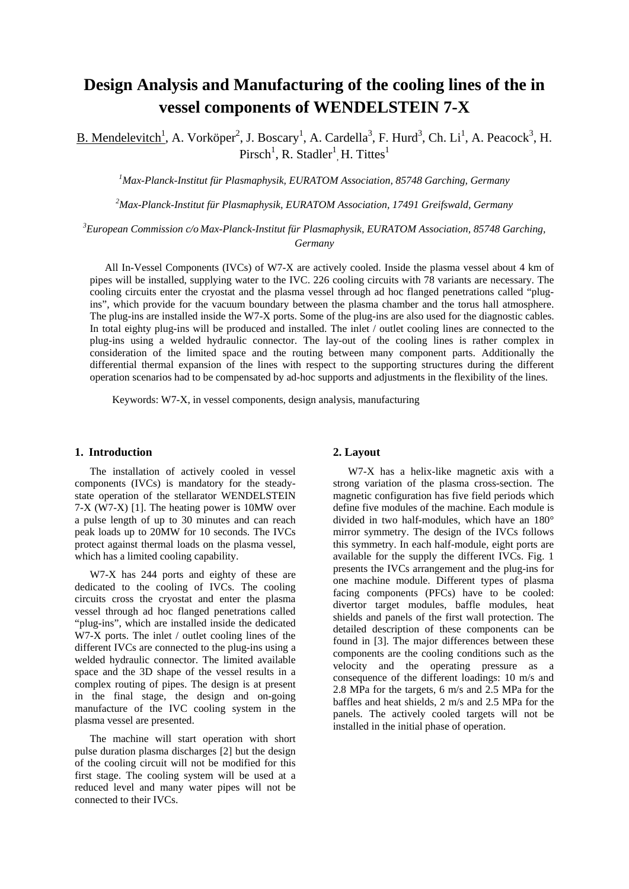# **Design Analysis and Manufacturing of the cooling lines of the in vessel components of WENDELSTEIN 7-X**

B. Mendelevitch<sup>1</sup>, A. Vorköper<sup>2</sup>, J. Boscary<sup>1</sup>, A. Cardella<sup>3</sup>, F. Hurd<sup>3</sup>, Ch. Li<sup>1</sup>, A. Peacock<sup>3</sup>, H. Pirsch<sup>1</sup>, R. Stadler<sup>1</sup>, H. Tittes<sup>1</sup>

*1 Max-Planck-Institut für Plasmaphysik, EURATOM Association, 85748 Garching, Germany* 

*2 Max-Planck-Institut für Plasmaphysik, EURATOM Association, 17491 Greifswald, Germany* 

*3 European Commission c/o Max-Planck-Institut für Plasmaphysik, EURATOM Association, 85748 Garching, Germany*

All In-Vessel Components (IVCs) of W7-X are actively cooled. Inside the plasma vessel about 4 km of pipes will be installed, supplying water to the IVC. 226 cooling circuits with 78 variants are necessary. The cooling circuits enter the cryostat and the plasma vessel through ad hoc flanged penetrations called "plugins", which provide for the vacuum boundary between the plasma chamber and the torus hall atmosphere. The plug-ins are installed inside the W7-X ports. Some of the plug-ins are also used for the diagnostic cables. In total eighty plug-ins will be produced and installed. The inlet / outlet cooling lines are connected to the plug-ins using a welded hydraulic connector. The lay-out of the cooling lines is rather complex in consideration of the limited space and the routing between many component parts. Additionally the differential thermal expansion of the lines with respect to the supporting structures during the different operation scenarios had to be compensated by ad-hoc supports and adjustments in the flexibility of the lines.

Keywords: W7-X, in vessel components, design analysis, manufacturing

#### **1. Introduction**

The installation of actively cooled in vessel components (IVCs) is mandatory for the steadystate operation of the stellarator WENDELSTEIN 7-X (W7-X) [1]. The heating power is 10MW over a pulse length of up to 30 minutes and can reach peak loads up to 20MW for 10 seconds. The IVCs protect against thermal loads on the plasma vessel, which has a limited cooling capability.

W7-X has 244 ports and eighty of these are dedicated to the cooling of IVCs. The cooling circuits cross the cryostat and enter the plasma vessel through ad hoc flanged penetrations called "plug-ins", which are installed inside the dedicated W7-X ports. The inlet / outlet cooling lines of the different IVCs are connected to the plug-ins using a welded hydraulic connector. The limited available space and the 3D shape of the vessel results in a complex routing of pipes. The design is at present in the final stage, the design and on-going manufacture of the IVC cooling system in the plasma vessel are presented.

The machine will start operation with short pulse duration plasma discharges [2] but the design of the cooling circuit will not be modified for this first stage. The cooling system will be used at a reduced level and many water pipes will not be connected to their IVCs.

## **2. Layout**

W7-X has a helix-like magnetic axis with a strong variation of the plasma cross-section. The magnetic configuration has five field periods which define five modules of the machine. Each module is divided in two half-modules, which have an 180° mirror symmetry. The design of the IVCs follows this symmetry. In each half-module, eight ports are available for the supply the different IVCs. Fig. 1 presents the IVCs arrangement and the plug-ins for one machine module. Different types of plasma facing components (PFCs) have to be cooled: divertor target modules, baffle modules, heat shields and panels of the first wall protection. The detailed description of these components can be found in [3]. The major differences between these components are the cooling conditions such as the velocity and the operating pressure as a consequence of the different loadings: 10 m/s and 2.8 MPa for the targets, 6 m/s and 2.5 MPa for the baffles and heat shields, 2 m/s and 2.5 MPa for the panels. The actively cooled targets will not be installed in the initial phase of operation.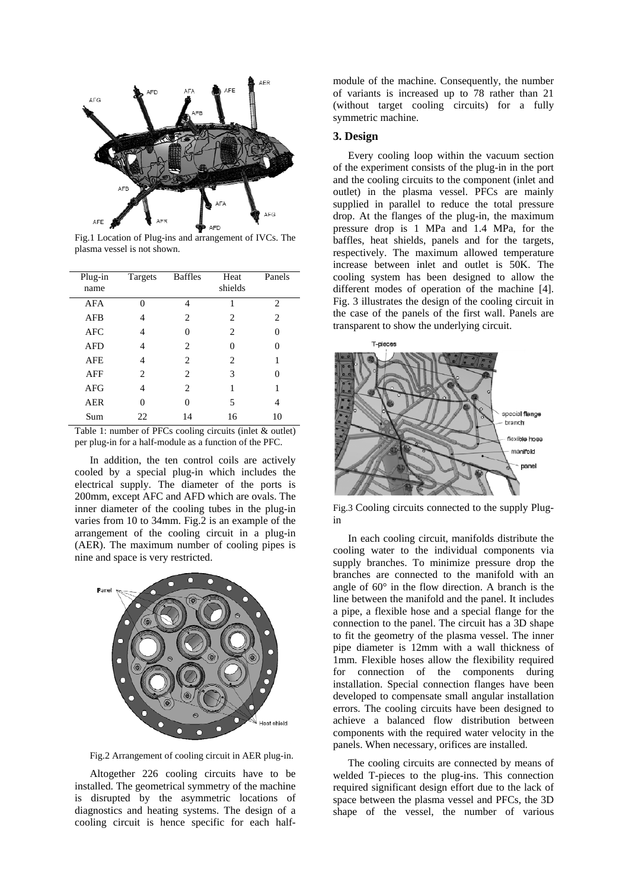

Fig.1 Location of Plug-ins and arrangement of IVCs. The plasma vessel is not shown.

| Plug-in<br>name | Targets | <b>Baffles</b> | Heat<br>shields | Panels |
|-----------------|---------|----------------|-----------------|--------|
| AFA             | 0       | 4              | 1               | 2      |
| AFB             | 4       | $\overline{c}$ | 2               | 2      |
| AFC             | 4       | 0              | 2               | 0      |
| <b>AFD</b>      | 4       | 2              | 0               | 0      |
| <b>AFE</b>      | 4       | $\overline{c}$ | $\overline{c}$  |        |
| AFF             | 2.      | $\overline{c}$ | 3               | 0      |
| AFG             | 4       | $\overline{c}$ | 1               | 1      |
| AER             | 0       | $\Omega$       | 5               | 4      |
| Sum             | 22      | 14             | 16              | 10     |

Table 1: number of PFCs cooling circuits (inlet & outlet) per plug-in for a half-module as a function of the PFC.

In addition, the ten control coils are actively cooled by a special plug-in which includes the electrical supply. The diameter of the ports is 200mm, except AFC and AFD which are ovals. The inner diameter of the cooling tubes in the plug-in varies from 10 to 34mm. Fig.2 is an example of the arrangement of the cooling circuit in a plug-in (AER). The maximum number of cooling pipes is nine and space is very restricted.



Fig.2 Arrangement of cooling circuit in AER plug-in.

Altogether 226 cooling circuits have to be installed. The geometrical symmetry of the machine is disrupted by the asymmetric locations of diagnostics and heating systems. The design of a cooling circuit is hence specific for each half-

module of the machine. Consequently, the number of variants is increased up to 78 rather than 21 (without target cooling circuits) for a fully symmetric machine.

# **3. Design**

Every cooling loop within the vacuum section of the experiment consists of the plug-in in the port and the cooling circuits to the component (inlet and outlet) in the plasma vessel. PFCs are mainly supplied in parallel to reduce the total pressure drop. At the flanges of the plug-in, the maximum pressure drop is 1 MPa and 1.4 MPa, for the baffles, heat shields, panels and for the targets, respectively. The maximum allowed temperature increase between inlet and outlet is 50K. The cooling system has been designed to allow the different modes of operation of the machine [4]. Fig. 3 illustrates the design of the cooling circuit in the case of the panels of the first wall. Panels are transparent to show the underlying circuit.



Fig.3 Cooling circuits connected to the supply Plugin

In each cooling circuit, manifolds distribute the cooling water to the individual components via supply branches. To minimize pressure drop the branches are connected to the manifold with an angle of 60° in the flow direction. A branch is the line between the manifold and the panel. It includes a pipe, a flexible hose and a special flange for the connection to the panel. The circuit has a 3D shape to fit the geometry of the plasma vessel. The inner pipe diameter is 12mm with a wall thickness of 1mm. Flexible hoses allow the flexibility required for connection of the components during installation. Special connection flanges have been developed to compensate small angular installation errors. The cooling circuits have been designed to achieve a balanced flow distribution between components with the required water velocity in the panels. When necessary, orifices are installed.

The cooling circuits are connected by means of welded T-pieces to the plug-ins. This connection required significant design effort due to the lack of space between the plasma vessel and PFCs, the 3D shape of the vessel, the number of various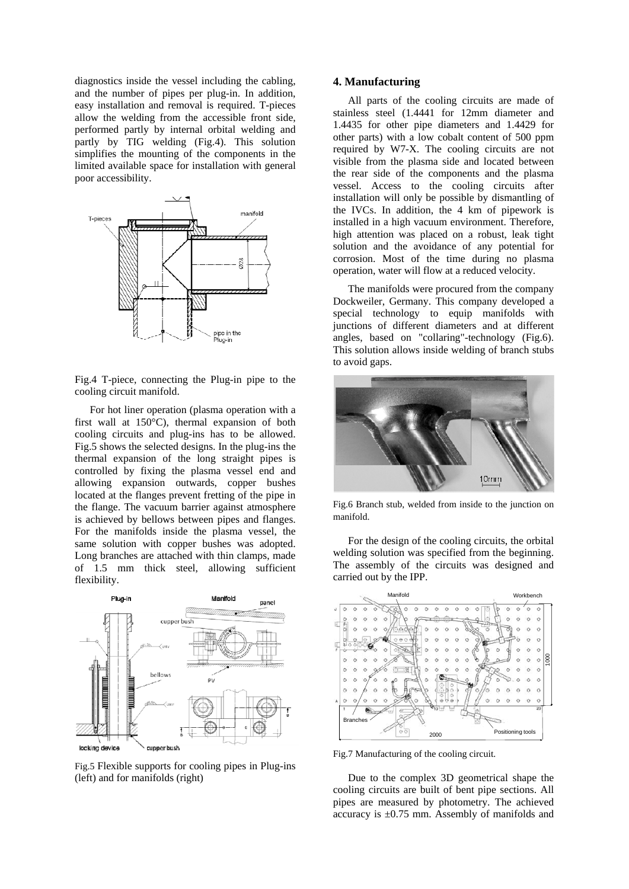diagnostics inside the vessel including the cabling, and the number of pipes per plug-in. In addition, easy installation and removal is required. T-pieces allow the welding from the accessible front side, performed partly by internal orbital welding and partly by TIG welding (Fig.4). This solution simplifies the mounting of the components in the limited available space for installation with general poor accessibility.



Fig.4 T-piece, connecting the Plug-in pipe to the cooling circuit manifold.

For hot liner operation (plasma operation with a first wall at 150°C), thermal expansion of both cooling circuits and plug-ins has to be allowed. Fig.5 shows the selected designs. In the plug-ins the thermal expansion of the long straight pipes is controlled by fixing the plasma vessel end and allowing expansion outwards, copper bushes located at the flanges prevent fretting of the pipe in the flange. The vacuum barrier against atmosphere is achieved by bellows between pipes and flanges. For the manifolds inside the plasma vessel, the same solution with copper bushes was adopted. Long branches are attached with thin clamps, made of 1.5 mm thick steel, allowing sufficient flexibility.



Fig.5 Flexible supports for cooling pipes in Plug-ins (left) and for manifolds (right)

### **4. Manufacturing**

All parts of the cooling circuits are made of stainless steel (1.4441 for 12mm diameter and 1.4435 for other pipe diameters and 1.4429 for other parts) with a low cobalt content of 500 ppm required by W7-X. The cooling circuits are not visible from the plasma side and located between the rear side of the components and the plasma vessel. Access to the cooling circuits after installation will only be possible by dismantling of the IVCs. In addition, the 4 km of pipework is installed in a high vacuum environment. Therefore, high attention was placed on a robust, leak tight solution and the avoidance of any potential for corrosion. Most of the time during no plasma operation, water will flow at a reduced velocity.

The manifolds were procured from the company Dockweiler, Germany. This company developed a special technology to equip manifolds with junctions of different diameters and at different angles, based on "collaring"-technology (Fig.6). This solution allows inside welding of branch stubs to avoid gaps.



Fig.6 Branch stub, welded from inside to the junction on manifold.

For the design of the cooling circuits, the orbital welding solution was specified from the beginning. The assembly of the circuits was designed and carried out by the IPP.



Fig.7 Manufacturing of the cooling circuit.

Due to the complex 3D geometrical shape the cooling circuits are built of bent pipe sections. All pipes are measured by photometry. The achieved accuracy is ±0.75 mm. Assembly of manifolds and